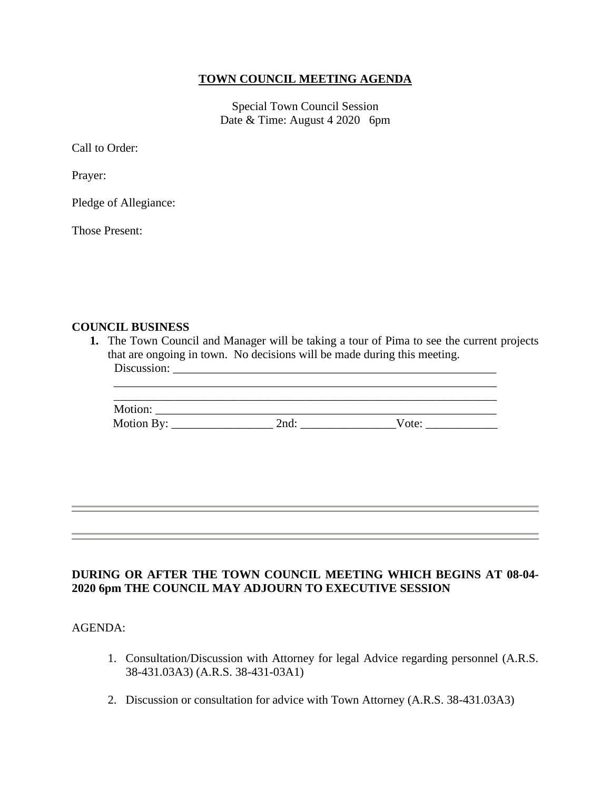## **TOWN COUNCIL MEETING AGENDA**

Special Town Council Session Date & Time: August 4 2020 6pm

Call to Order:

Prayer:

Pledge of Allegiance:

Those Present:

## **COUNCIL BUSINESS**

**1.** The Town Council and Manager will be taking a tour of Pima to see the current projects that are ongoing in town. No decisions will be made during this meeting. Discussion:

| Motion:    |      |       |  |
|------------|------|-------|--|
| Motion By: | 2nd: | Vote: |  |

\_\_\_\_\_\_\_\_\_\_\_\_\_\_\_\_\_\_\_\_\_\_\_\_\_\_\_\_\_\_\_\_\_\_\_\_\_\_\_\_\_\_\_\_\_\_\_\_\_\_\_\_\_\_\_\_\_\_\_\_\_\_\_\_

## **DURING OR AFTER THE TOWN COUNCIL MEETING WHICH BEGINS AT 08-04- 2020 6pm THE COUNCIL MAY ADJOURN TO EXECUTIVE SESSION**

AGENDA:

- 1. Consultation/Discussion with Attorney for legal Advice regarding personnel (A.R.S. 38-431.03A3) (A.R.S. 38-431-03A1)
- 2. Discussion or consultation for advice with Town Attorney (A.R.S. 38-431.03A3)